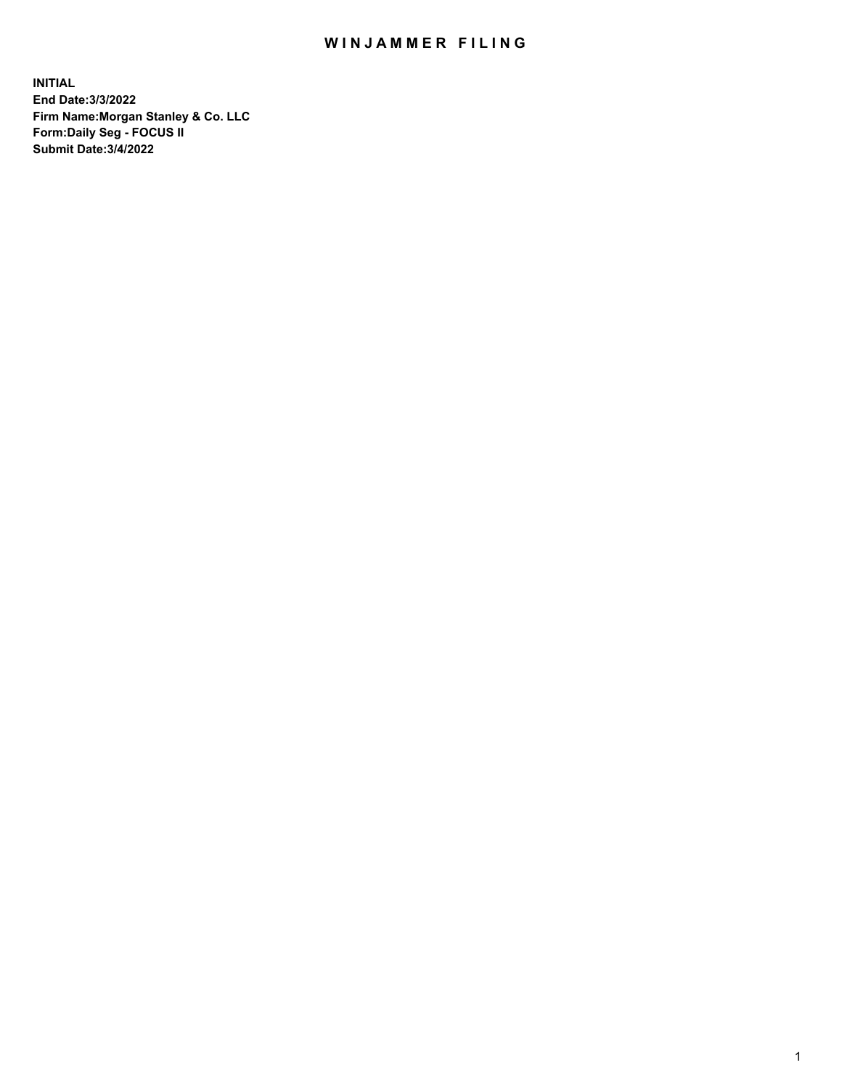## WIN JAMMER FILING

**INITIAL End Date:3/3/2022 Firm Name:Morgan Stanley & Co. LLC Form:Daily Seg - FOCUS II Submit Date:3/4/2022**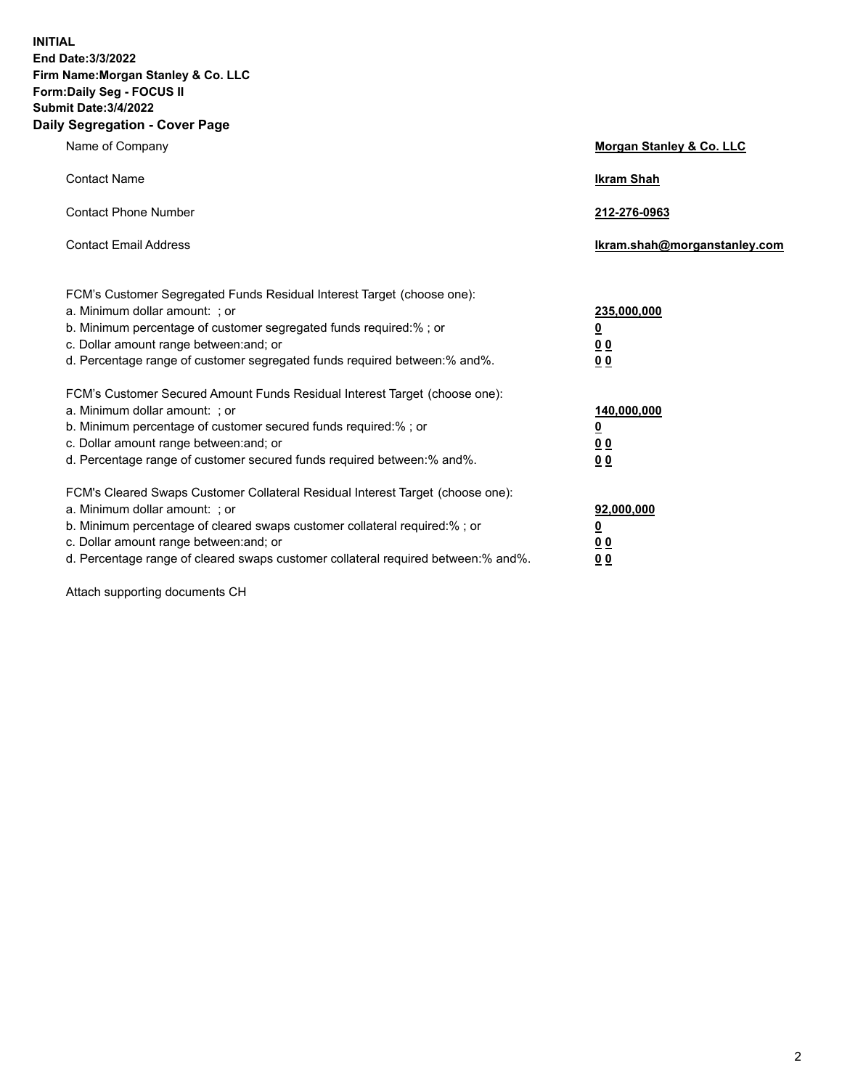**INITIAL End Date:3/3/2022 Firm Name:Morgan Stanley & Co. LLC Form:Daily Seg - FOCUS II Submit Date:3/4/2022 Daily Segregation - Cover Page**

| Name of Company                                                                                                                                                                                                                                                                                                               | Morgan Stanley & Co. LLC                                                     |
|-------------------------------------------------------------------------------------------------------------------------------------------------------------------------------------------------------------------------------------------------------------------------------------------------------------------------------|------------------------------------------------------------------------------|
| <b>Contact Name</b>                                                                                                                                                                                                                                                                                                           | <b>Ikram Shah</b>                                                            |
| <b>Contact Phone Number</b>                                                                                                                                                                                                                                                                                                   | 212-276-0963                                                                 |
| <b>Contact Email Address</b>                                                                                                                                                                                                                                                                                                  | Ikram.shah@morganstanley.com                                                 |
| FCM's Customer Segregated Funds Residual Interest Target (choose one):<br>a. Minimum dollar amount: ; or<br>b. Minimum percentage of customer segregated funds required:% ; or<br>c. Dollar amount range between: and; or<br>d. Percentage range of customer segregated funds required between: % and %.                      | 235,000,000<br><u>0</u><br><u>00</u><br>0 Q                                  |
| FCM's Customer Secured Amount Funds Residual Interest Target (choose one):<br>a. Minimum dollar amount: ; or<br>b. Minimum percentage of customer secured funds required:%; or<br>c. Dollar amount range between: and; or<br>d. Percentage range of customer secured funds required between:% and%.                           | 140,000,000<br><u>0</u><br>$\underline{0}$ $\underline{0}$<br>0 <sup>0</sup> |
| FCM's Cleared Swaps Customer Collateral Residual Interest Target (choose one):<br>a. Minimum dollar amount: ; or<br>b. Minimum percentage of cleared swaps customer collateral required:%; or<br>c. Dollar amount range between: and; or<br>d. Percentage range of cleared swaps customer collateral required between:% and%. | 92,000,000<br><u>0</u><br><u>00</u><br>00                                    |

Attach supporting documents CH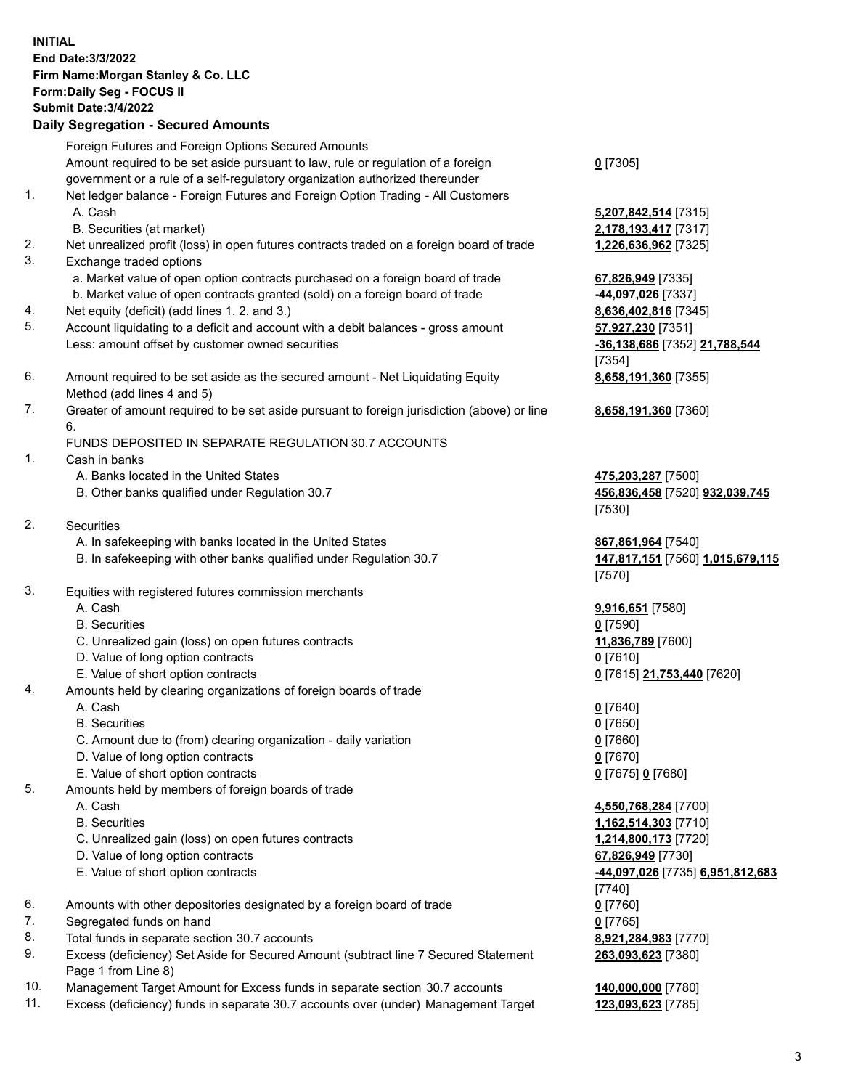|          | <b>INITIAL</b><br>End Date: 3/3/2022<br>Firm Name: Morgan Stanley & Co. LLC<br>Form: Daily Seg - FOCUS II<br><b>Submit Date: 3/4/2022</b><br><b>Daily Segregation - Secured Amounts</b>                                 |                                                                |
|----------|-------------------------------------------------------------------------------------------------------------------------------------------------------------------------------------------------------------------------|----------------------------------------------------------------|
|          |                                                                                                                                                                                                                         |                                                                |
|          | Foreign Futures and Foreign Options Secured Amounts<br>Amount required to be set aside pursuant to law, rule or regulation of a foreign<br>government or a rule of a self-regulatory organization authorized thereunder | $0$ [7305]                                                     |
| 1.       | Net ledger balance - Foreign Futures and Foreign Option Trading - All Customers<br>A. Cash                                                                                                                              | 5,207,842,514 [7315]                                           |
|          | B. Securities (at market)                                                                                                                                                                                               | 2,178,193,417 [7317]                                           |
| 2.<br>3. | Net unrealized profit (loss) in open futures contracts traded on a foreign board of trade<br>Exchange traded options                                                                                                    | 1,226,636,962 [7325]                                           |
|          | a. Market value of open option contracts purchased on a foreign board of trade                                                                                                                                          | 67,826,949 [7335]                                              |
|          | b. Market value of open contracts granted (sold) on a foreign board of trade<br>Net equity (deficit) (add lines 1. 2. and 3.)                                                                                           | -44,097,026 [7337]                                             |
| 4.<br>5. | Account liquidating to a deficit and account with a debit balances - gross amount                                                                                                                                       | 8,636,402,816 [7345]<br>57,927,230 [7351]                      |
|          | Less: amount offset by customer owned securities                                                                                                                                                                        | -36,138,686 [7352] 21,788,544<br>[7354]                        |
| 6.       | Amount required to be set aside as the secured amount - Net Liquidating Equity<br>Method (add lines 4 and 5)                                                                                                            | 8,658,191,360 [7355]                                           |
| 7.       | Greater of amount required to be set aside pursuant to foreign jurisdiction (above) or line<br>6.                                                                                                                       | 8,658,191,360 [7360]                                           |
|          | FUNDS DEPOSITED IN SEPARATE REGULATION 30.7 ACCOUNTS                                                                                                                                                                    |                                                                |
| 1.       | Cash in banks                                                                                                                                                                                                           |                                                                |
|          | A. Banks located in the United States<br>B. Other banks qualified under Regulation 30.7                                                                                                                                 | 475,203,287 [7500]<br>456,836,458 [7520] 932,039,745<br>[7530] |
| 2.       | <b>Securities</b>                                                                                                                                                                                                       |                                                                |
|          | A. In safekeeping with banks located in the United States<br>B. In safekeeping with other banks qualified under Regulation 30.7                                                                                         | 867,861,964 [7540]<br>147,817,151 [7560] 1,015,679,115         |
| 3.       |                                                                                                                                                                                                                         | [7570]                                                         |
|          | Equities with registered futures commission merchants                                                                                                                                                                   |                                                                |
|          | A. Cash<br><b>B.</b> Securities                                                                                                                                                                                         | 9,916,651 [7580]<br>$0$ [7590]                                 |
|          | C. Unrealized gain (loss) on open futures contracts                                                                                                                                                                     | 11,836,789 [7600]                                              |
|          | D. Value of long option contracts                                                                                                                                                                                       | $0$ [7610]                                                     |
|          | E. Value of short option contracts                                                                                                                                                                                      | 0 [7615] 21,753,440 [7620]                                     |
| 4.       | Amounts held by clearing organizations of foreign boards of trade                                                                                                                                                       |                                                                |
|          | A. Cash                                                                                                                                                                                                                 | $0$ [7640]                                                     |
|          | <b>B.</b> Securities                                                                                                                                                                                                    | $0$ [7650]                                                     |
|          | C. Amount due to (from) clearing organization - daily variation                                                                                                                                                         | $0$ [7660]                                                     |
|          | D. Value of long option contracts                                                                                                                                                                                       | $0$ [7670]                                                     |
|          | E. Value of short option contracts                                                                                                                                                                                      | 0 [7675] 0 [7680]                                              |
| 5.       | Amounts held by members of foreign boards of trade                                                                                                                                                                      |                                                                |
|          | A. Cash                                                                                                                                                                                                                 | 4,550,768,284 [7700]                                           |
|          | <b>B.</b> Securities                                                                                                                                                                                                    | 1,162,514,303 [7710]                                           |
|          | C. Unrealized gain (loss) on open futures contracts                                                                                                                                                                     | 1,214,800,173 [7720]                                           |
|          | D. Value of long option contracts                                                                                                                                                                                       | 67,826,949 [7730]                                              |
|          | E. Value of short option contracts                                                                                                                                                                                      | -44,097,026 [7735] 6,951,812,683                               |
|          |                                                                                                                                                                                                                         | $[7740]$                                                       |
| 6.       | Amounts with other depositories designated by a foreign board of trade                                                                                                                                                  | $0$ [7760]                                                     |
| 7.       | Segregated funds on hand                                                                                                                                                                                                | $0$ [7765]                                                     |
| 8.       | Total funds in separate section 30.7 accounts                                                                                                                                                                           | 8,921,284,983 [7770]                                           |
| 9.       | Excess (deficiency) Set Aside for Secured Amount (subtract line 7 Secured Statement<br>Page 1 from Line 8)                                                                                                              | 263,093,623 [7380]                                             |

- 10. Management Target Amount for Excess funds in separate section 30.7 accounts **140,000,000** [7780]
- 11. Excess (deficiency) funds in separate 30.7 accounts over (under) Management Target **123,093,623** [7785]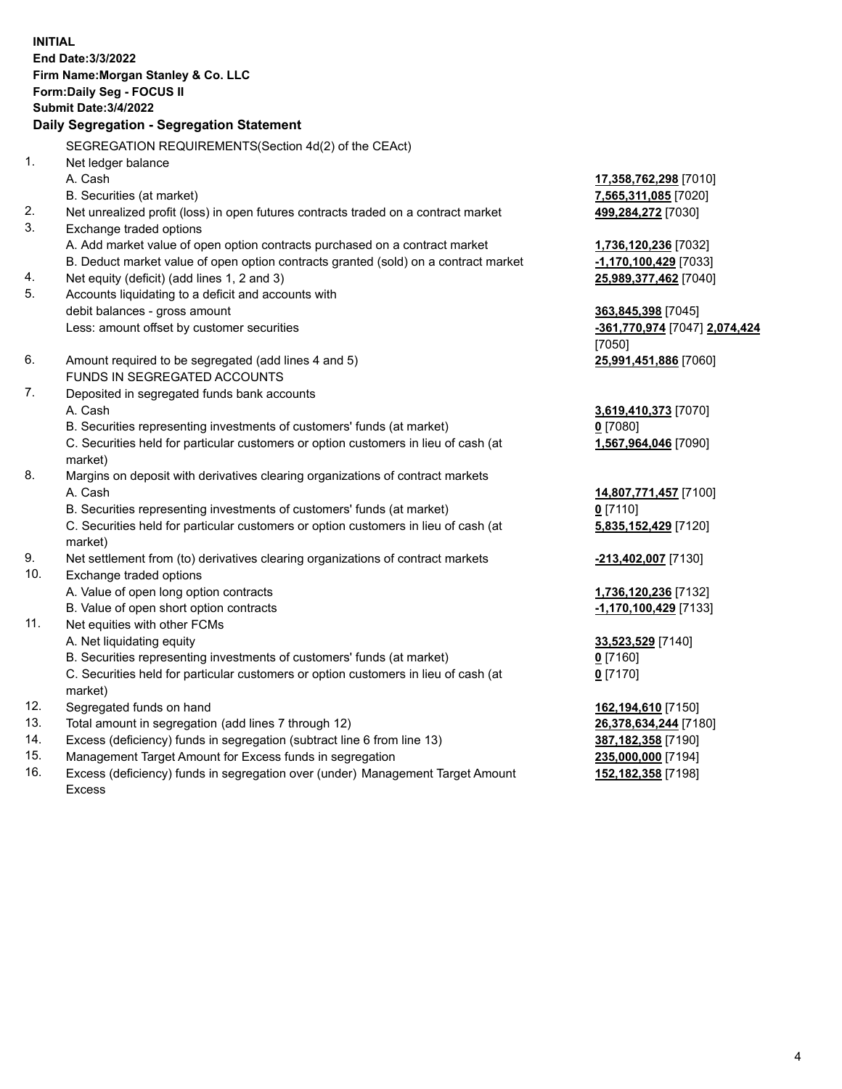|                | <b>INITIAL</b><br>End Date: 3/3/2022<br>Firm Name: Morgan Stanley & Co. LLC<br>Form: Daily Seg - FOCUS II<br><b>Submit Date: 3/4/2022</b><br>Daily Segregation - Segregation Statement |                                             |
|----------------|----------------------------------------------------------------------------------------------------------------------------------------------------------------------------------------|---------------------------------------------|
|                | SEGREGATION REQUIREMENTS(Section 4d(2) of the CEAct)                                                                                                                                   |                                             |
| $\mathbf{1}$ . | Net ledger balance                                                                                                                                                                     |                                             |
|                | A. Cash                                                                                                                                                                                | 17,358,762,298 [7010]                       |
|                | B. Securities (at market)                                                                                                                                                              | 7,565,311,085 [7020]                        |
| 2.             | Net unrealized profit (loss) in open futures contracts traded on a contract market                                                                                                     | 499,284,272 [7030]                          |
| 3.             | Exchange traded options                                                                                                                                                                |                                             |
|                | A. Add market value of open option contracts purchased on a contract market                                                                                                            | 1,736,120,236 [7032]                        |
|                | B. Deduct market value of open option contracts granted (sold) on a contract market                                                                                                    | $-1,170,100,429$ [7033]                     |
| 4.             | Net equity (deficit) (add lines 1, 2 and 3)                                                                                                                                            | 25,989,377,462 [7040]                       |
| 5.             | Accounts liquidating to a deficit and accounts with                                                                                                                                    |                                             |
|                | debit balances - gross amount                                                                                                                                                          | 363,845,398 [7045]                          |
|                | Less: amount offset by customer securities                                                                                                                                             | -361,770,974 [7047] 2,074,424               |
|                |                                                                                                                                                                                        | [7050]                                      |
| 6.             | Amount required to be segregated (add lines 4 and 5)                                                                                                                                   | 25,991,451,886 [7060]                       |
|                | FUNDS IN SEGREGATED ACCOUNTS                                                                                                                                                           |                                             |
| 7.             | Deposited in segregated funds bank accounts                                                                                                                                            |                                             |
|                | A. Cash<br>B. Securities representing investments of customers' funds (at market)                                                                                                      | 3,619,410,373 [7070]                        |
|                | C. Securities held for particular customers or option customers in lieu of cash (at                                                                                                    | $0$ [7080]<br>1,567,964,046 [7090]          |
|                | market)                                                                                                                                                                                |                                             |
| 8.             | Margins on deposit with derivatives clearing organizations of contract markets                                                                                                         |                                             |
|                | A. Cash                                                                                                                                                                                | 14,807,771,457 [7100]                       |
|                | B. Securities representing investments of customers' funds (at market)                                                                                                                 | $0$ [7110]                                  |
|                | C. Securities held for particular customers or option customers in lieu of cash (at                                                                                                    | 5,835,152,429 [7120]                        |
|                | market)                                                                                                                                                                                |                                             |
| 9.             | Net settlement from (to) derivatives clearing organizations of contract markets                                                                                                        | -213,402,007 [7130]                         |
| 10.            | Exchange traded options                                                                                                                                                                |                                             |
|                | A. Value of open long option contracts                                                                                                                                                 | 1,736,120,236 [7132]                        |
|                | B. Value of open short option contracts                                                                                                                                                | -1,170,100,429 [7133]                       |
| 11.            | Net equities with other FCMs                                                                                                                                                           |                                             |
|                | A. Net liquidating equity                                                                                                                                                              | 33,523,529 [7140]                           |
|                | B. Securities representing investments of customers' funds (at market)                                                                                                                 | $0$ [7160]                                  |
|                | C. Securities held for particular customers or option customers in lieu of cash (at                                                                                                    | $0$ [7170]                                  |
| 12.            | market)<br>Segregated funds on hand                                                                                                                                                    |                                             |
| 13.            | Total amount in segregation (add lines 7 through 12)                                                                                                                                   | 162,194,610 [7150]<br>26,378,634,244 [7180] |
| 14.            | Excess (deficiency) funds in segregation (subtract line 6 from line 13)                                                                                                                | 387,182,358 [7190]                          |
| 15.            | Management Target Amount for Excess funds in segregation                                                                                                                               | 235,000,000 [7194]                          |
|                |                                                                                                                                                                                        |                                             |

16. Excess (deficiency) funds in segregation over (under) Management Target Amount Excess

**152,182,358** [7198]